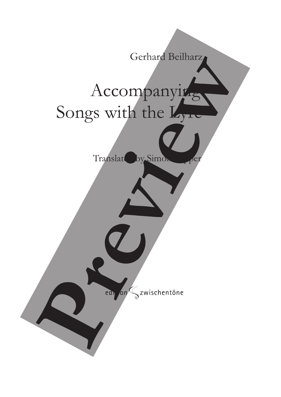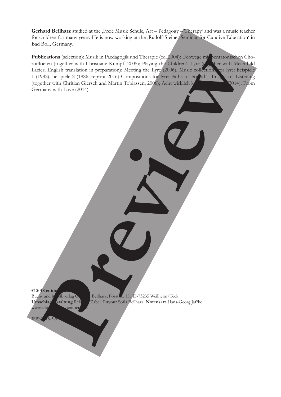Gerhard Beilharz studied at the ,Freie Musik Schule, Art – Pedagogy – Therapy' and was a music teacher for children for many years. He is now working at the ,Rudolf-Steiner-Seminar for Curative Education' in Bad Boll, Germany.

Publications (selection): Musik in Paedagogik und Therapie (ed. 2004); Uebwege mit pentatonischen Choroifloeten (together with Christiane Kumpf, 2005); Playing the Children's Lyre (the Value with Mechthild Laeier; English translation in preparation); Meeting the Lyre (2006). Music collections for lyre: beispiele 1 (1982), beispiele 2 (1986, reprint 2016) Compositions for lyre: Paths of Sound – Images of Listening (together with Chritian Giersch and Martin Tobiassen, 2006); Acht wirklich kurze Ereignisse (2014); From Germany with Love (2014) Publication (secher) and the independent of the control of the control of the control of the control of the control of the control of the control of the control of the control of the control of the control of the control o

 $© 2018$  editic www.edition-

Buch- und Musikverlag Gerhard Beilharz, Forststr. 15, D-73235 Weilheim/Teck **Umschlaggestaltung Rebecca** Zabel **Layout** Sofia Beilharz **Notensatz** Hans-Georg Jaffke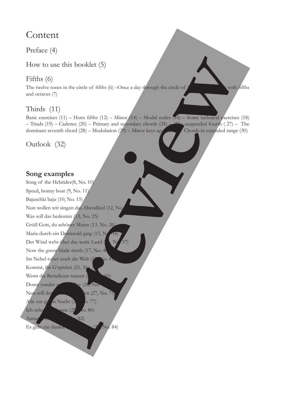## Content

Preface (4)

How to use this booklet (5)

### Fifths (6)

The twelve tones in the circle of fifths  $(6)$  –Once a day through the circle of  $f$  with fifths and octaves (7)

## Thirds (11)

Basic exercises (11) – Horn fifths (12) – Minor (14) – Modal scales  $(16)$  – Some technical exercises (18) – Triads (19) – Cadence (20) – Primary and secondary chords (24) – The suspended fourth (27) – The dominant seventh chord  $(28)$  – Modulation  $(29)$  – Minor keys again (30) – Chords in extended range (30)

Outlook (32)

### **Song examples**

Nun wollen wir singen das Abendlied (12, No. Was soll das bedeuten (13, No. 25)  $\overline{S}$  = 0,  $\overline{S}$  (1)  $\overline{S}$  1)  $\overline{S}$  (1) Grüß Gott, du schöner Maien (13. No. 26). Maria durch ein Dornwald ging (15, Nr. 34) Der Wind weht über das weite Land (15, No. 25) Nous the executive de sizeth (17. No. 26) Now the green blade riseth (17, No. 40) Im Nebel ruhet noch die Welt (17, No. 41) Kommt, ihr G'spielen (21, No. 56) and  $W_{\alpha}$  die Bettelleute tenzen Kommt, ihr Geschichten (2015) Down yonder green valley (26, No.  $\frac{1}{2}$  Nun will der  $\frac{1}{2}$  en (27, No. 75) Ade zur guten Nacht (2<sup>8, 1</sup>0. 77)  $A = \frac{1}{2}$  $\eta$ nne (29,  $\chi$ o. 80) Autumn comes (30, 182) Es geht ein dunkle Song of the Hebrides(8, No. 10) Speed, bonny boat (9, No. 11) Bajuschki baju (10, No. 15) Wenn die Bettelleute tanzen (23, 1965) Ich sehe How to use this booklet (5)<br>
Fifths (6)<br>
The redevictors in the circle of fiths (6) – Once a<br>
and others (7)<br>
and others (7)<br>
Third's (11)<br>
The character (24) – Hom fifths (12) – Many  $\phi$ <br>
Direction (33, No. 84) <br>
Dunkle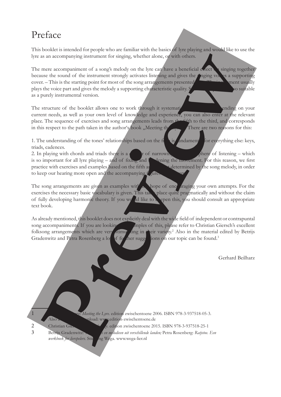# Preface

This booklet is intended for people who are familiar with the basics of lyre playing and would like to use the lyre as an accompanying instrument for singing, whether alone, or with others.

The mere accompaniment of a song's melody on the lyre can have a beneficial exect  $\bullet$  singing together because the sound of the instrument strongly activates listening and gives the singing voles a supporting cover. – This is the starting point for most of the song arrangements presented plays the voice part and gives the melody a supporting characteristic quality. Some examples are also suitable as a purely instrumental version. as an accompanying instrument for singing, whether alone, of which the companying internal cases are a single prediction of a second of the instrument strongly activities is the company of the sole are a better and preview

The structure of the booklet allows one to work through it systematically. However, ending on your current needs, as well as your own level of knowledge and experience, you can also enter at the relevant place. The sequence of exercises and song arrangements leads from the fifth to the third, and corresponds in this respect to the path taken in the author's book "Meeting the There are two reasons for this:

1. The understanding of the tones' relationships based on the fighth is fundament for everything else: keys, triads, cadences.

2. In playing with chords and triads there is a  $\alpha$  danger of narrowing the which sphere of listening – which is so important for all lyre playing – and of fixing and  $\mathbf{I}$  dening the movement. For this reason, we first practice with exercises and examples based on the fifth and the determined by the song melody, in order to keep our hearing more open and the accompanying figures

The song arrangements are given as examples with  $\Delta$  hope of encouraging your own attempts. For the exercises the necessary basic vocabulary is given. This takes place quite pragmatically and without the claim of fully developing harmonic theory. If you would like to deepen this, you should consult an appropriate text book.

As already mentioned, this booklet does not explicitly deal with the wide field of independent or contrapuntal song accompaniments. If you are looking for examples of this, please refer to Christian Giersch's excellent folksong arrangements which are very stimulating in Leir variety.<sup>2</sup> Also in the material edited by Betrijs Gradenwitz and Petra Rosenberg a lot of further suggestions on our topic can be found.<sup>3</sup>

Gerhard Beilharz

Meeting the Lyre. edition zwischentoene 2006. ISBN 978-3-937518-05-3. aload: www.edition-zwischentoene.de

- 2 Christian Giersch: *Legending aussischentoene* 2015. ISBN 978-3-937518-25-1
- 3 Betrijs Gradenwitz: *Is en melodieen uit verschillende landen*; Petra Rosenberg: *Ratjetoe. Een*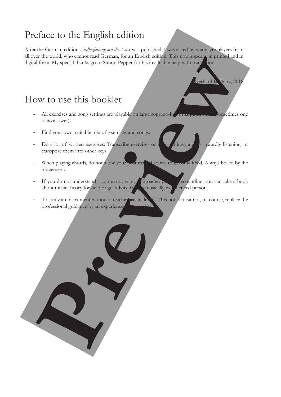# Preface to the English edition

After the German edition *Liedbegleitung mit der Leier* was published, I was asked by many lyre players from all over the world, who cannot read German, for an English edition. This now appears, in printed and in digital form. My special thanks go to Simon Pepper for his invaluable help with translation!

Gerhard B. Tharz, 2018

## How to use this booklet

- All exercises and song settings are playable on large soprano-lyre or large alto-lyre sometimes one octave lower).
- Find your own, suitable mix of exercises and songs.
- Do a lot of written exercises: Transcribe exercises or southings, always inwardly listening, or transpose them into other keys. er a transitional guidance by an experimental guidance by an experimental guidance by an experimental solid and the series of the series of the series of the series of the series of the series of the series of the series o
- When playing chords, do not allow your posture and sound to become fixed. Always be led by the movement.
- If you do not understand a context or want  $t$  broaden your derstanding, you can take a book about music theory for help or get advice from a musically  $\exp$  *fienced person.*
- To study an instrument without a teacher has its limits. This booklet cannot, of course, replace the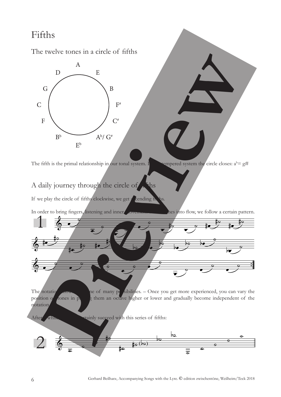# Fifths

The twelve tones in a circle of fifths

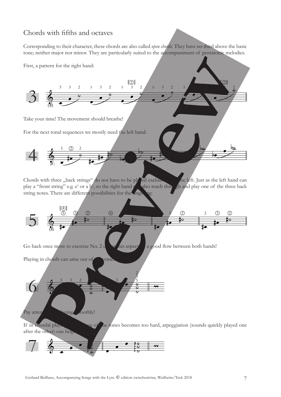#### Chords with fifths and octaves

Corresponding to their character, these chords are also called *open chords.* They have no third above the basic tone; neither major nor minor. They are particularly suited to the accompaniment of pentatonic melodies.



Chords with three "back strings" do not have to be played exclusively one left. Just as the left hand can play a "front string" e.g.  $e^{\epsilon}$  or a  $b^{\epsilon}$ , so the right hand  $g$  also reach three  $\frac{1}{2}$  hand play one of play a "front string" e.g. e' or a b', so the right hand can also reach through and play one of the three back string notes. There are different possibilities for the inge

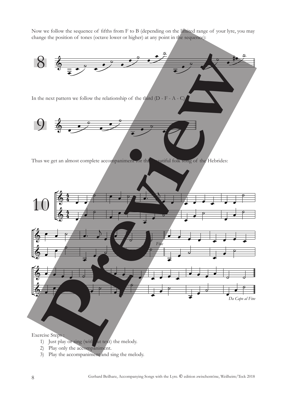Now we follow the sequence of fifths from F to B (depending on the limited range of your lyre, you may change the position of tones (octave lower or higher) at any point in the sequence):



- 1) Just play or sing (with  $\frac{d}{dt}$  text) the melody.
- 2) Play only the accompaniment.
- 3) Play the accompaniment and sing the melody.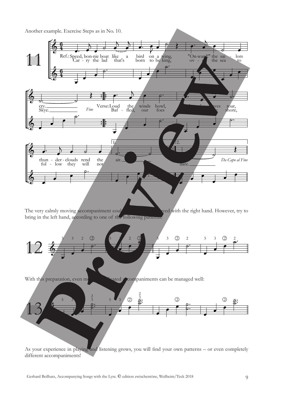Another example. Exercise Steps as in No. 10.



The very calmly moving accompaniment could be completed with the right hand. However, try to bring in the left hand, according to one of the following patterns:



With this preparation, even more completed accompaniments can be managed well:



As your experience in playing and listening grows, you will find your own patterns – or even completely different accompaniments!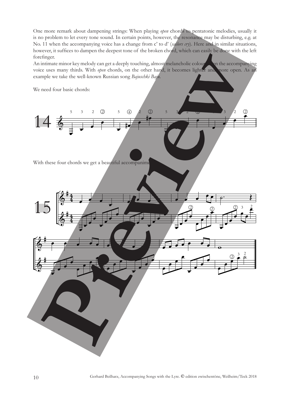One more remark about dampening strings: When playing *open* chords to pentatonic melodies, usually it is no problem to let every tone sound. In certain points, however, the resonance may be disturbing, e.g. at No. 11 when the accompanying voice has a change from c' to d' (*sailors cry*). Here and in similar situations, however, it suffices to dampen the deepest tone of the broken chord, which can easily be done with the left forefinger.

An intimate minor key melody can get a deeply touching, almost melancholic colour when the accompanying voice uses many thirds. With *open* chords, on the other hand, it becomes lighter and more open. As an example we take the well-known Russian song *Bajuschki Baju*.

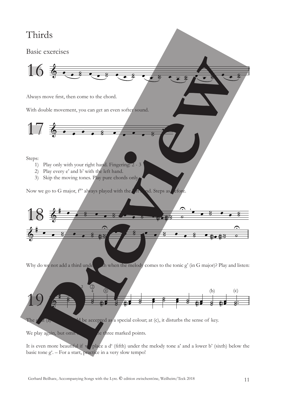# Thirds

Basic exercises



Always move first, then come to the chord.

With double movement, you can get an even softer sound.

$$
17\text{ }6\text{ }6\text{ }6\text{ }6\text{ }6\text{ }6\text{ }6\text{ }7\text{ }8\text{ }7\text{ }1
$$

 $\frac{1}{2}$   $\frac{1}{2}$ 

 $\frac{1}{2}$ 

‰

Steps:

- 1) Play only with your right hand. Fingering: 2 3
- 2) Play every e' and b' with the left hand.
- 3) Skip the moving tones. Play pure chords only,

Now we go to G major,  $f^{\#}$  always played with the  $f$  thand. Steps as  $f$  efore.



Why do we not add a third under the melody comes to the tonic  $g'$  (in G major)? Play and listen:



The  $e'$  at (a) does accepted as a special colour; at (c), it disturbs the sense of key.

We play again, but oming  $\alpha$  is three marked points.

It is even more beautiful if we place a d' (fifth) under the melody tone a' and a lower b' (sixth) below the basic tone g'. – For a start, practice in a very slow tempo!